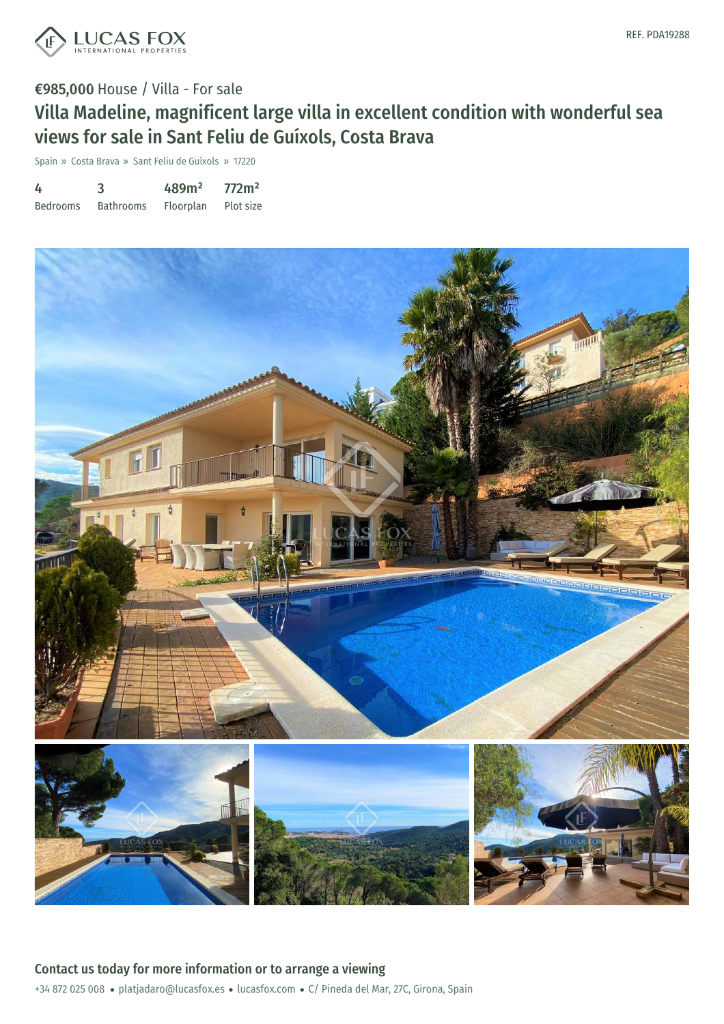

# €985,000 House / Villa - For sale Villa Madeline, magnificent large villa in excellent condition with wonderful sea views for sale in Sant Feliu de Guíxols, Costa Brava

Spain » Costa Brava » Sant Feliu de Guíxols » 17220

| 4               | 3                | 489m <sup>2</sup> | 772m <sup>2</sup> |
|-----------------|------------------|-------------------|-------------------|
| <b>Bedrooms</b> | <b>Bathrooms</b> | Floorplan         | Plot size         |

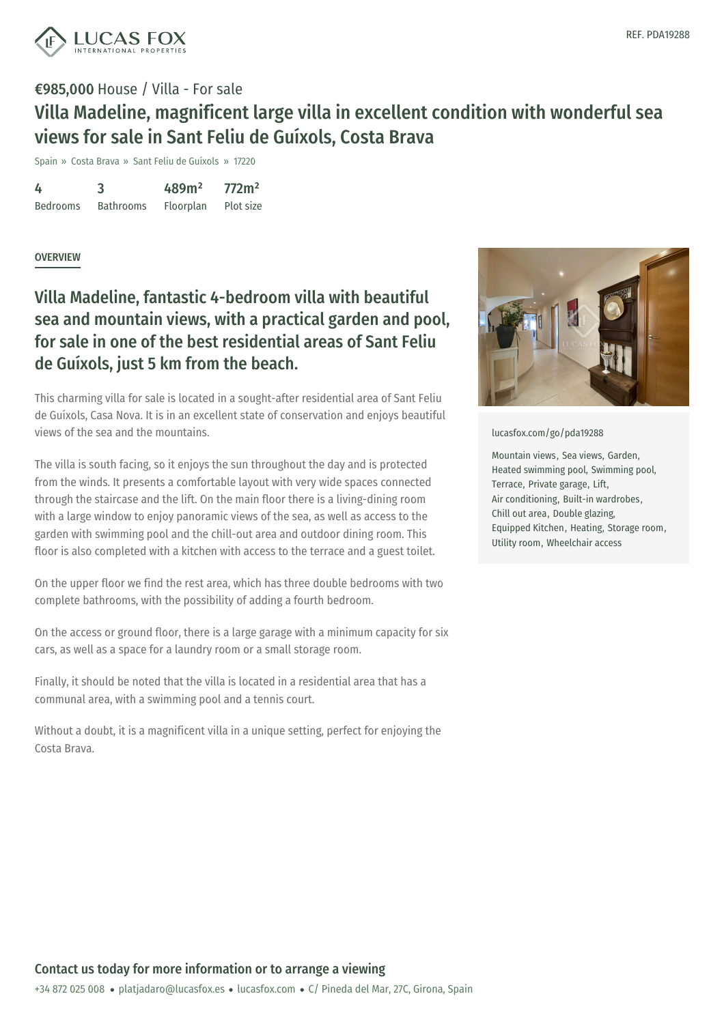

## €985,000 House / Villa - For sale Villa Madeline, magnificent large villa in excellent condition with wonderful sea views for sale in Sant Feliu de Guíxols, Costa Brava

Spain » Costa Brava » Sant Feliu de Guíxols » 17220

4 Bedrooms 3 Bathrooms 489m² Floorplan 772m² Plot size

### **OVERVIEW**

## Villa Madeline, fantastic 4-bedroom villa with beautiful sea and mountain views, with a practical garden and pool, for sale in one of the best residential areas of Sant Feliu de Guíxols, just 5 km from the beach.

This charming villa for sale is located in a sought-after residential area of Sant Feliu de Guíxols, Casa Nova. It is in an excellent state of conservation and enjoys beautiful views of the sea and the mountains.

The villa is south facing, so it enjoys the sun throughout the day and is protected from the winds. It presents a comfortable layout with very wide spaces connected through the staircase and the lift. On the main floor there is a living-dining room with a large window to enjoy panoramic views of the sea, as well as access to the garden with swimming pool and the chill-out area and outdoor dining room. This floor is also completed with a kitchen with access to the terrace and a guest toilet.

On the upper floor we find the rest area, which has three double bedrooms with two complete bathrooms, with the possibility of adding a fourth bedroom.

On the access or ground floor, there is a large garage with a minimum capacity for six cars, as well as a space for a laundry room or a small storage room.

Finally, it should be noted that the villa is located in a residential area that has a communal area, with a swimming pool and a tennis court.

Without a doubt, it is a [magnificent](mailto:platjadaro@lucasfox.es) villa in a [unique](https://www.lucasfox.com) setting, perfect for enjoying the Costa Brava.



#### [lucasfox.com/go/pda19288](https://www.lucasfox.com/go/pda19288)

Mountain views, Sea views, Garden, Heated swimming pool, Swimming pool, Terrace, Private garage, Lift, Air conditioning, Built-in wardrobes, Chill out area, Double glazing, Equipped Kitchen, Heating, Storage room, Utility room, Wheelchair access